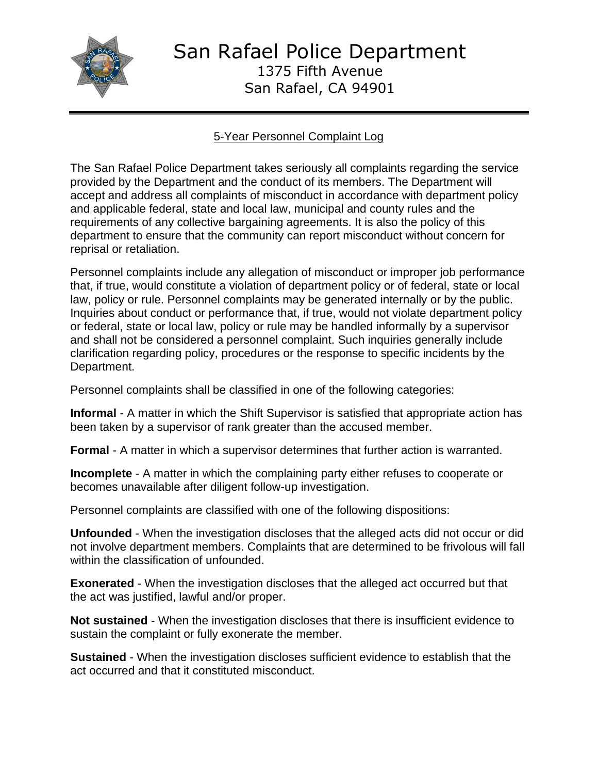

San Rafael Police Department 1375 Fifth Avenue San Rafael, CA 94901

## 5-Year Personnel Complaint Log

The San Rafael Police Department takes seriously all complaints regarding the service provided by the Department and the conduct of its members. The Department will accept and address all complaints of misconduct in accordance with department policy and applicable federal, state and local law, municipal and county rules and the requirements of any collective bargaining agreements. It is also the policy of this department to ensure that the community can report misconduct without concern for reprisal or retaliation.

Personnel complaints include any allegation of misconduct or improper job performance that, if true, would constitute a violation of department policy or of federal, state or local law, policy or rule. Personnel complaints may be generated internally or by the public. Inquiries about conduct or performance that, if true, would not violate department policy or federal, state or local law, policy or rule may be handled informally by a supervisor and shall not be considered a personnel complaint. Such inquiries generally include clarification regarding policy, procedures or the response to specific incidents by the Department.

Personnel complaints shall be classified in one of the following categories:

**Informal** - A matter in which the Shift Supervisor is satisfied that appropriate action has been taken by a supervisor of rank greater than the accused member.

**Formal** - A matter in which a supervisor determines that further action is warranted.

**Incomplete** - A matter in which the complaining party either refuses to cooperate or becomes unavailable after diligent follow-up investigation.

Personnel complaints are classified with one of the following dispositions:

**Unfounded** - When the investigation discloses that the alleged acts did not occur or did not involve department members. Complaints that are determined to be frivolous will fall within the classification of unfounded.

**Exonerated** - When the investigation discloses that the alleged act occurred but that the act was justified, lawful and/or proper.

**Not sustained** - When the investigation discloses that there is insufficient evidence to sustain the complaint or fully exonerate the member.

**Sustained** - When the investigation discloses sufficient evidence to establish that the act occurred and that it constituted misconduct.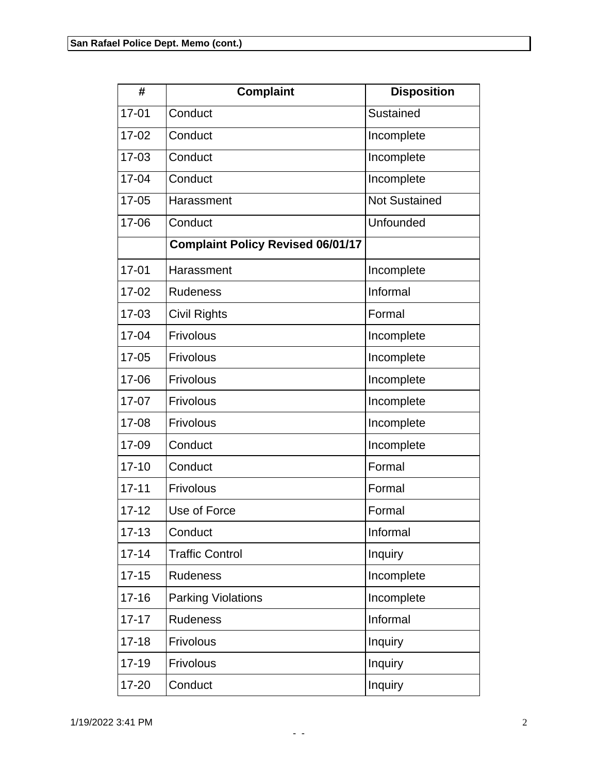| #         | <b>Complaint</b>                         | <b>Disposition</b>   |
|-----------|------------------------------------------|----------------------|
| $17 - 01$ | Conduct                                  | Sustained            |
| $17 - 02$ | Conduct                                  | Incomplete           |
| 17-03     | Conduct                                  | Incomplete           |
| $17 - 04$ | Conduct                                  | Incomplete           |
| $17 - 05$ | Harassment                               | <b>Not Sustained</b> |
| 17-06     | Conduct                                  | Unfounded            |
|           | <b>Complaint Policy Revised 06/01/17</b> |                      |
| $17 - 01$ | Harassment                               | Incomplete           |
| $17 - 02$ | <b>Rudeness</b>                          | Informal             |
| 17-03     | <b>Civil Rights</b>                      | Formal               |
| 17-04     | Frivolous                                | Incomplete           |
| $17 - 05$ | Frivolous                                | Incomplete           |
| 17-06     | Frivolous                                | Incomplete           |
| $17 - 07$ | Frivolous                                | Incomplete           |
| 17-08     | Frivolous                                | Incomplete           |
| 17-09     | Conduct                                  | Incomplete           |
| $17 - 10$ | Conduct                                  | Formal               |
| $17 - 11$ | Frivolous                                | Formal               |
| $17 - 12$ | Use of Force                             | Formal               |
| $17 - 13$ | Conduct                                  | Informal             |
| $17 - 14$ | <b>Traffic Control</b>                   | Inquiry              |
| $17 - 15$ | <b>Rudeness</b>                          | Incomplete           |
| $17 - 16$ | <b>Parking Violations</b>                | Incomplete           |
| $17 - 17$ | <b>Rudeness</b>                          | Informal             |
| $17 - 18$ | Frivolous                                | Inquiry              |
| $17 - 19$ | Frivolous                                | Inquiry              |
| 17-20     | Conduct                                  | Inquiry              |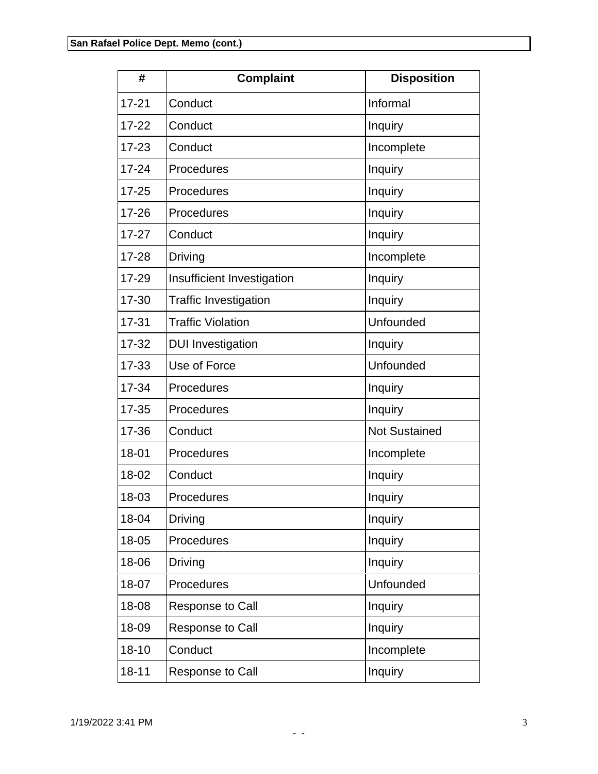| #         | <b>Complaint</b>             | <b>Disposition</b>   |
|-----------|------------------------------|----------------------|
| $17 - 21$ | Conduct                      | Informal             |
| $17 - 22$ | Conduct                      | Inquiry              |
| $17 - 23$ | Conduct                      | Incomplete           |
| $17 - 24$ | Procedures                   | Inquiry              |
| $17 - 25$ | Procedures                   | Inquiry              |
| $17 - 26$ | Procedures                   | Inquiry              |
| $17 - 27$ | Conduct                      | Inquiry              |
| $17 - 28$ | Driving                      | Incomplete           |
| 17-29     | Insufficient Investigation   | Inquiry              |
| 17-30     | <b>Traffic Investigation</b> | Inquiry              |
| $17 - 31$ | <b>Traffic Violation</b>     | Unfounded            |
| $17 - 32$ | <b>DUI Investigation</b>     | Inquiry              |
| $17 - 33$ | Use of Force                 | Unfounded            |
| 17-34     | Procedures                   | Inquiry              |
| $17 - 35$ | Procedures                   | Inquiry              |
| 17-36     | Conduct                      | <b>Not Sustained</b> |
| 18-01     | Procedures                   | Incomplete           |
| 18-02     | Conduct                      | Inquiry              |
| 18-03     | Procedures                   | Inquiry              |
| 18-04     | Driving                      | Inquiry              |
| 18-05     | Procedures                   | Inquiry              |
| 18-06     | Driving                      | Inquiry              |
| 18-07     | Procedures                   | Unfounded            |
| 18-08     | Response to Call             | Inquiry              |
| 18-09     | <b>Response to Call</b>      | Inquiry              |
| $18 - 10$ | Conduct                      | Incomplete           |
| $18 - 11$ | <b>Response to Call</b>      | Inquiry              |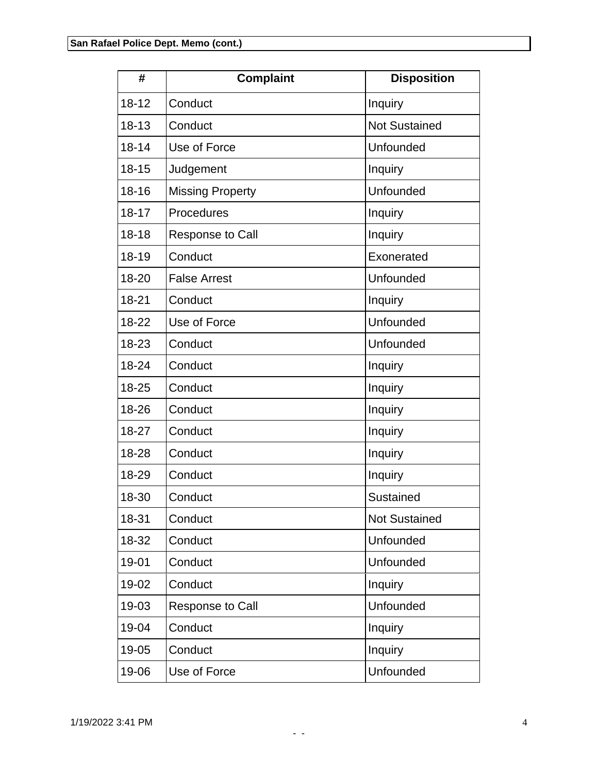| #         | <b>Complaint</b>        | <b>Disposition</b>   |
|-----------|-------------------------|----------------------|
| $18 - 12$ | Conduct                 | Inquiry              |
| $18 - 13$ | Conduct                 | <b>Not Sustained</b> |
| $18 - 14$ | Use of Force            | Unfounded            |
| $18 - 15$ | Judgement               | Inquiry              |
| $18 - 16$ | <b>Missing Property</b> | Unfounded            |
| $18 - 17$ | Procedures              | Inquiry              |
| $18 - 18$ | <b>Response to Call</b> | Inquiry              |
| 18-19     | Conduct                 | Exonerated           |
| 18-20     | <b>False Arrest</b>     | Unfounded            |
| 18-21     | Conduct                 | Inquiry              |
| 18-22     | Use of Force            | Unfounded            |
| 18-23     | Conduct                 | Unfounded            |
| 18-24     | Conduct                 | Inquiry              |
| 18-25     | Conduct                 | Inquiry              |
| 18-26     | Conduct                 | Inquiry              |
| 18-27     | Conduct                 | Inquiry              |
| 18-28     | Conduct                 | Inquiry              |
| 18-29     | Conduct                 | Inquiry              |
| 18-30     | Conduct                 | Sustained            |
| 18-31     | Conduct                 | <b>Not Sustained</b> |
| 18-32     | Conduct                 | Unfounded            |
| 19-01     | Conduct                 | Unfounded            |
| 19-02     | Conduct                 | Inquiry              |
| 19-03     | Response to Call        | Unfounded            |
| 19-04     | Conduct                 | Inquiry              |
| 19-05     | Conduct                 | Inquiry              |
| 19-06     | Use of Force            | Unfounded            |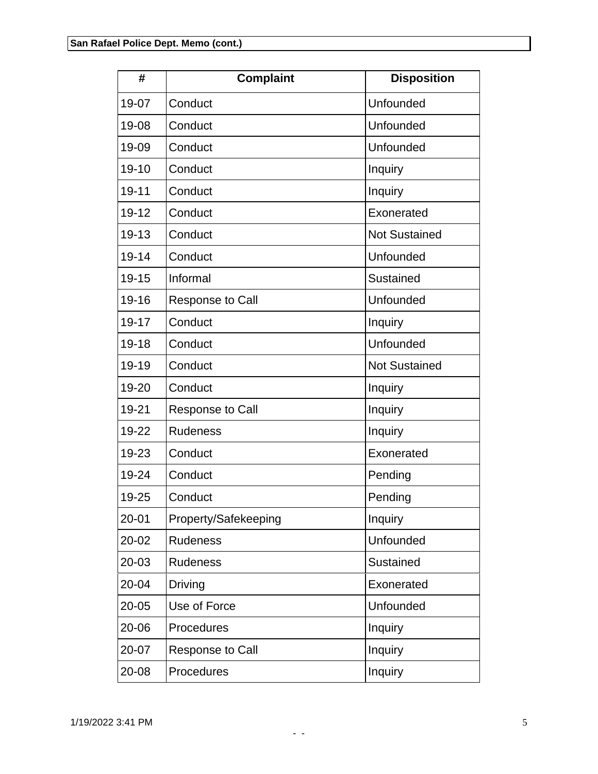| #         | <b>Complaint</b>        | <b>Disposition</b>   |
|-----------|-------------------------|----------------------|
| 19-07     | Conduct                 | Unfounded            |
| 19-08     | Conduct                 | Unfounded            |
| 19-09     | Conduct                 | Unfounded            |
| 19-10     | Conduct                 | Inquiry              |
| $19 - 11$ | Conduct                 | Inquiry              |
| $19 - 12$ | Conduct                 | Exonerated           |
| 19-13     | Conduct                 | <b>Not Sustained</b> |
| $19 - 14$ | Conduct                 | Unfounded            |
| $19 - 15$ | Informal                | Sustained            |
| 19-16     | <b>Response to Call</b> | Unfounded            |
| 19-17     | Conduct                 | Inquiry              |
| 19-18     | Conduct                 | Unfounded            |
| 19-19     | Conduct                 | <b>Not Sustained</b> |
| 19-20     | Conduct                 | Inquiry              |
| 19-21     | <b>Response to Call</b> | Inquiry              |
| 19-22     | <b>Rudeness</b>         | Inquiry              |
| 19-23     | Conduct                 | Exonerated           |
| 19-24     | Conduct                 | Pending              |
| 19-25     | Conduct                 | Pending              |
| $20 - 01$ | Property/Safekeeping    | Inquiry              |
| 20-02     | <b>Rudeness</b>         | Unfounded            |
| 20-03     | <b>Rudeness</b>         | Sustained            |
| 20-04     | <b>Driving</b>          | Exonerated           |
| $20 - 05$ | Use of Force            | Unfounded            |
| 20-06     | Procedures              | Inquiry              |
| 20-07     | <b>Response to Call</b> | Inquiry              |
| 20-08     | Procedures              | Inquiry              |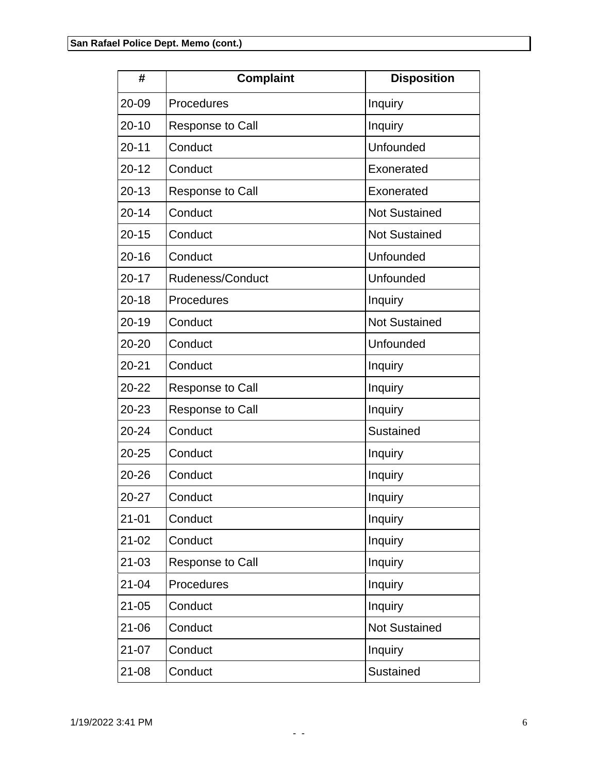| #         | <b>Complaint</b>        | <b>Disposition</b>   |
|-----------|-------------------------|----------------------|
| 20-09     | Procedures              | Inquiry              |
| $20 - 10$ | <b>Response to Call</b> | Inquiry              |
| $20 - 11$ | Conduct                 | Unfounded            |
| $20 - 12$ | Conduct                 | Exonerated           |
| $20 - 13$ | <b>Response to Call</b> | Exonerated           |
| $20 - 14$ | Conduct                 | <b>Not Sustained</b> |
| $20 - 15$ | Conduct                 | <b>Not Sustained</b> |
| $20 - 16$ | Conduct                 | Unfounded            |
| $20 - 17$ | Rudeness/Conduct        | Unfounded            |
| $20 - 18$ | Procedures              | Inquiry              |
| $20 - 19$ | Conduct                 | <b>Not Sustained</b> |
| 20-20     | Conduct                 | Unfounded            |
| $20 - 21$ | Conduct                 | Inquiry              |
| 20-22     | <b>Response to Call</b> | Inquiry              |
| 20-23     | <b>Response to Call</b> | Inquiry              |
| $20 - 24$ | Conduct                 | Sustained            |
| $20 - 25$ | Conduct                 | Inquiry              |
| 20-26     | Conduct                 | Inquiry              |
| $20 - 27$ | Conduct                 | Inquiry              |
| $21 - 01$ | Conduct                 | Inquiry              |
| $21 - 02$ | Conduct                 | Inquiry              |
| $21 - 03$ | Response to Call        | Inquiry              |
| $21 - 04$ | Procedures              | Inquiry              |
| $21 - 05$ | Conduct                 | Inquiry              |
| 21-06     | Conduct                 | <b>Not Sustained</b> |
| $21 - 07$ | Conduct                 | Inquiry              |
| $21 - 08$ | Conduct                 | Sustained            |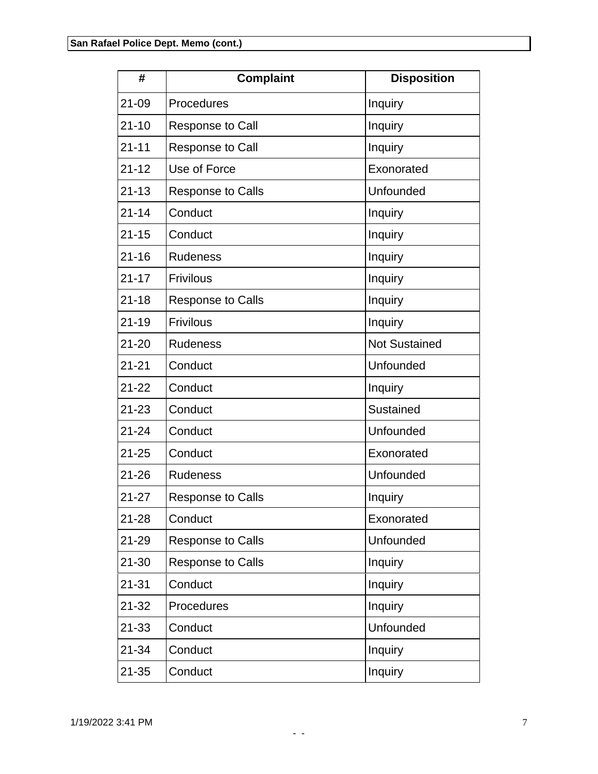| #         | <b>Complaint</b>         | <b>Disposition</b>   |
|-----------|--------------------------|----------------------|
| $21 - 09$ | Procedures               | Inquiry              |
| $21 - 10$ | <b>Response to Call</b>  | Inquiry              |
| $21 - 11$ | <b>Response to Call</b>  | Inquiry              |
| $21 - 12$ | Use of Force             | Exonorated           |
| $21 - 13$ | <b>Response to Calls</b> | Unfounded            |
| $21 - 14$ | Conduct                  | Inquiry              |
| $21 - 15$ | Conduct                  | Inquiry              |
| $21 - 16$ | <b>Rudeness</b>          | Inquiry              |
| $21 - 17$ | <b>Frivilous</b>         | Inquiry              |
| $21 - 18$ | <b>Response to Calls</b> | Inquiry              |
| $21 - 19$ | <b>Frivilous</b>         | Inquiry              |
| $21 - 20$ | <b>Rudeness</b>          | <b>Not Sustained</b> |
| $21 - 21$ | Conduct                  | Unfounded            |
| $21 - 22$ | Conduct                  | Inquiry              |
| $21 - 23$ | Conduct                  | Sustained            |
| $21 - 24$ | Conduct                  | <b>Unfounded</b>     |
| $21 - 25$ | Conduct                  | Exonorated           |
| 21-26     | <b>Rudeness</b>          | Unfounded            |
| $21 - 27$ | <b>Response to Calls</b> | Inquiry              |
| $21 - 28$ | Conduct                  | Exonorated           |
| 21-29     | <b>Response to Calls</b> | Unfounded            |
| $21 - 30$ | <b>Response to Calls</b> | Inquiry              |
| $21 - 31$ | Conduct                  | Inquiry              |
| $21 - 32$ | Procedures               | Inquiry              |
| 21-33     | Conduct                  | <b>Unfounded</b>     |
| $21 - 34$ | Conduct                  | Inquiry              |
| $21 - 35$ | Conduct                  | Inquiry              |